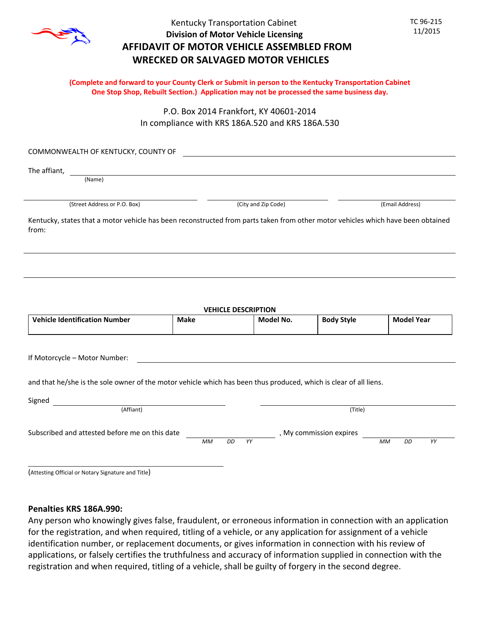

## Kentucky Transportation Cabinet **Division of Motor Vehicle Licensing AFFIDAVIT OF MOTOR VEHICLE ASSEMBLED FROM WRECKED OR SALVAGED MOTOR VEHICLES**

 TC 96‐215 11/2015

### **(Complete and forward to your County Clerk or Submit in person to the Kentucky Transportation Cabinet One Stop Shop, Rebuilt Section.) Application may not be processed the same business day.**

P.O. Box 2014 Frankfort, KY 40601‐2014 In compliance with KRS 186A.520 and KRS 186A.530

COMMONWEALTH OF KENTUCKY, COUNTY OF

The affiant,

(Name)

(Street Address or P.O. Box) (City and Zip Code) (Email Address)

**Model No.**

**Body Style**

**Model Year**

Kentucky, states that a motor vehicle has been reconstructed from parts taken from other motor vehicles which have been obtained from:

**VEHICLE DESCRIPTION**

If Motorcycle – Motor Number:

and that he/she is the sole owner of the motor vehicle which has been thus produced, which is clear of all liens.

**Make**

| Signed<br>(Affiant)                            |           |     |    | (Title)                 |           |    |    |  |
|------------------------------------------------|-----------|-----|----|-------------------------|-----------|----|----|--|
| Subscribed and attested before me on this date |           |     |    | , My commission expires |           |    |    |  |
|                                                | <b>MM</b> | DD. | YY |                         | <b>MM</b> | DD | YY |  |
|                                                |           |     |    |                         |           |    |    |  |

(Attesting Official or Notary Signature and Title)

**Vehicle Identification Number**

### **Penalties KRS 186A.990:**

Any person who knowingly gives false, fraudulent, or erroneous information in connection with an application for the registration, and when required, titling of a vehicle, or any application for assignment of a vehicle identification number, or replacement documents, or gives information in connection with his review of applications, or falsely certifies the truthfulness and accuracy of information supplied in connection with the registration and when required, titling of a vehicle, shall be guilty of forgery in the second degree.